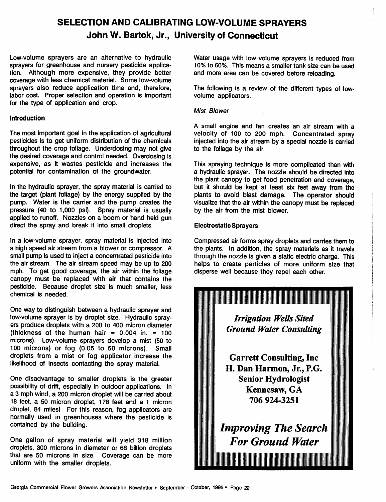# *SELECTION AND CALIBRATING LOW-VOLUME SPRAYERS John W. Bartok, Jr., University of Connecticut*

Low-volume sprayers are an alternative to hydraulic sprayers for greenhouse and nursery pesticide applica tion. Although more expensive, they provide better coverage with less chemical material. Some low-volume sprayers also reduce application time and, therefore, labor cost. Proper selection and operation is important for the type of application and crop.

#### *Introduction*

The most important goal in the application of agricultural pesticides is to get uniform distribution of the chemicals throughout the crop foliage. Underdosing may not give the desired coverage and control needed. Overdosing is expensive, as it wastes pesticide and increases the potential for contamination of the groundwater.

In the hydraulic sprayer, the spray material is carried to the target (plant foliage) by the energy supplied by the pump. Water is the carrier and the pump creates the pressure (40 to 1,000 psi). Spray material is usually applied to runoff. Nozzles on a boom or hand held gun direct the spray and break it into small droplets.

In a low-volume sprayer, spray material is injected into a high speed air stream from a blower or compressor. A small pump is used to inject a concentrated pesticide into the air stream. The air stream speed may be up to 200 mph. To get good coverage, the air within the foliage canopy must be replaced with air that contains the pesticide. Because droplet size is much smaller, less chemical is needed.

One way to distinguish between a hydraulic sprayer and low-volume sprayer is by droplet size. Hydraulic spray ers produce droplets with a 200 to 400 micron diameter (thickness of the human hair  $= 0.004$  in.  $= 100$ microns). Low-volume sprayers develop a mist (50 to 100 microns) or fog (0.05 to 50 microns). Small droplets from a mist or fog applicator increase the likelihood of insects contacting the spray material.

One disadvantage to smaller droplets is the greater possibility of drift, especially in outdoor applications. In a 3 mph wind, a 200 micron droplet will be carried about 18 feet, a 50 micron droplet, 178 feet and a 1 micron droplet, 84 miles! For this reason, fog applicators are normally used in greenhouses where the pesticide is contained by the building.

One gallon of spray material will yield 318 million droplets, 300 microns in diameter or 68 billion droplets that are 50 microns in size. Coverage can be more uniform with the smaller droplets.

Water usage with low volume sprayers is reduced from 10% to 60%. This means a smaller tank size can be used and more area can be covered before reloading.

The following is a review of the different types of lowvolume applicators.

**Mist Blower**

A small engine and fan creates an air stream with a velocity of 100 to 200 mph. Concentrated spray injected into the air stream by a special nozzle is carried to the foliage by the air.

This spraying technique is more complicated than with a hydraulic sprayer. The nozzle should be directed into the plant canopy to get food penetration and coverage, but it should be kept at least six feet away from the plants to avoid blast damage. The operator should visualize that the air within the canopy must be replaced by the air from the mist blower.

### *Electrostatic Sprayers*

Compressed air forms spray droplets and carries them to the plants. In addition, the spray materials as it travels through the nozzle is given a static electric charge. This helps to create particles of more uniform size that disperse well because they repel each other.

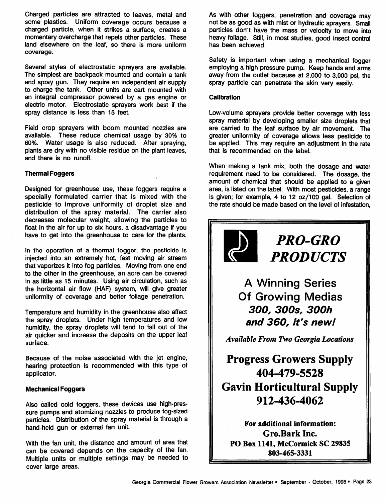Charged particles are attracted to leaves, metal and some plastics. Uniform coverage occurs because a charged particle, when it strikes a surface, creates a momentary overcharge that repels other particles. These land elsewhere on the leaf, so there is more uniform coverage.

Several styles of electrostatic sprayers are available. The simplest are backpack mounted and contain a tank and spray gun. They require an independent air supply to charge the tank. Other units are cart mounted with an integral compressor powered by a gas engine or electric motor. Electrostatic sprayers work best if the spray distance is less than 15 feet.

Field crop sprayers with boom mounted nozzles are available. These reduce chemical usage by 30% to 60%. Water usage is also reduced. After spraying, plants are dry with no visible residue on the plant leaves, and there is no runoff.

# *Thermal Foggers*

Designed for greenhouse use, these foggers require a specially formulated carrier that is mixed with the pesticide to improve uniformity of droplet size and distribution of the spray material. The carrier also decreases molecular weight, allowing the particles to float in the air for up to six hours, a disadvantage if you have to get into the greenhouse to care for the plants.

In the operation of a thermal fogger, the pesticide is injected into an extremely hot, fast moving air stream that vaporizes it into fog particles. Moving from one end to the other in the greenhouse, an acre can be covered in as little as 15 minutes. Using air circulation, such as the horizontal air flow (HAF) system, will give greater uniformity of coverage and better foliage penetration.

Temperature and humidity in the greenhouse also affect the spray droplets. Under high temperatures and low humidity, the spray droplets will tend to fall out of the air quicker and increase the deposits on the upper leaf surface.

Because of the noise associated with the jet engine, hearing protection is recommended with this type of applicator.

#### *Mechanical Foggers*

Also called cold foggers, these devices use high-pres sure pumps and atomizing nozzles to produce fog-sized particles. Distribution of the spray material is through a hand-held gun or external fan unit.

With the fan unit, the distance and amount of area that can be covered depends on the capacity of the fan. Multiple units or multiple settings may be needed to cover large areas.

As with other foggers, penetration and coverage may not be as good as with mist or hydraulic sprayers. Small particles don't have the mass or velocity to move into heavy foliage. Still, in most studies, good insect control has been achieved.

Safety is important when using a mechanical fogger employing a high pressure pump. Keep hands and arms away from the outlet because at 2,000 to 3,000 psi, the spray particle can penetrate the skin very easily.

#### *Calibration*

Low-volume sprayers provide better coverage with less spray material by developing smaller size droplets that are carried to the leaf surface by air movement. The greater uniformity of coverage allows less pesticide to be applied. This may require an adjustment in the rate that is recommended on the label.

When making a tank mix, both the dosage and water requirement need to be considered. The dosage, the amount of chemical that should be applied to a given area, is listed on the label. With most pesticides, a range is given; for example, 4 to 12 oz/100 gal. Selection of the rate should be made based on the level of infestation,

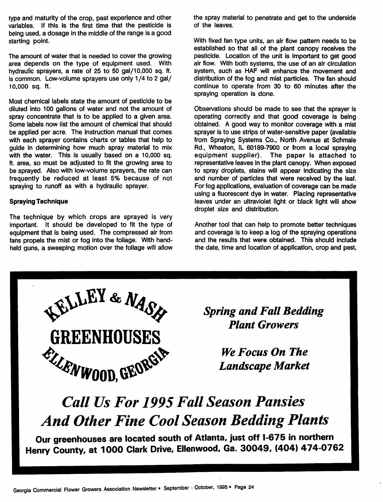type and maturity of the crop, past experience and other variables. If this is the first time that the pesticide is being used, a dosage in the middle of the range is a good starting point.

The amount of water that is needed to cover the growing area depends on the type of equipment used. With hydraulic sprayers, a rate of 25 to 50 gal/10,000 sq. ft. is common. Low-volume sprayers use only 1/4 to 2 gal/ 10,000 sq. ft.

Most chemical labels state the amount of pesticide to be diluted into 100 gallons of water and not the amount of spray concentrate that is to be applied to a given area. Some labels now list the amount of chemical that should be applied per acre. The instruction manual that comes with each sprayer contains charts or tables that help to guide in determining how much spray material to mix with the water. This is usually based on a 10,000 sq. ft. area, so must be adjusted to fit the growing area to be sprayed. Also with low-volume sprayers, the rate can frequently be reduced at least 5% because of not spraying to runoff as with a hydraulic sprayer.

# *Spraying Technique*

The technique by which crops are sprayed is very important. It should be developed to fit the type of equipment that is being used. The compressed air from fans propels the mist or fog into the foliage. With hand held guns, a sweeping motion over the foliage will allow the spray material to penetrate and get to the underside of the leaves.

With fixed fan type units, an air flow pattern needs to be established so that all of the plant canopy receives the pesticide. Location of the unit is important to get good air flow. With both systems, the use of an air circulation system, such as HAF will enhance the movement and distribution of the fog and mist particles. The fan should continue to operate from 30 to 60 minutes after the spraying operation is done.

Observations should be made to see that the sprayer is operating correctly and that good coverage is being obtained. A good way to monitor coverage with a mist sprayer is to use strips of water-sensitive paper (available from Spraying Systems Co., North Avenue at Schmale Rd., Wheaton, IL 60189-7900 or from a local spraying equipment supplier). The paper is attached to representative leaves in the plant canopy. When exposed to spray droplets, stains will appear indicating the size and number of particles that were received by the leaf. For fog applications, evaluation of coverage can be made using a fluorescent dye in water. Placing representative leaves under an ultraviolet light or black light will show droplet size and distribution.

Another tool that can help to promote better techniques and coverage is to keep a log of the spraying operations and the results that were obtained. This should include the date, time and location of application, crop and pest,



*Spring and Fall Bedding Plant Growers*

> *We Focus On The Landscape Market*

# *Call Us For 1995 Fall Season Pansies And Other Fine Cool Season Bedding Plants*

*Our greenhouses are located south of Atlanta, just off 1-675 in northern Henry County, at 1000 Clark Drive, Ellenwood, Ga. 30049, (404) 474-0762*